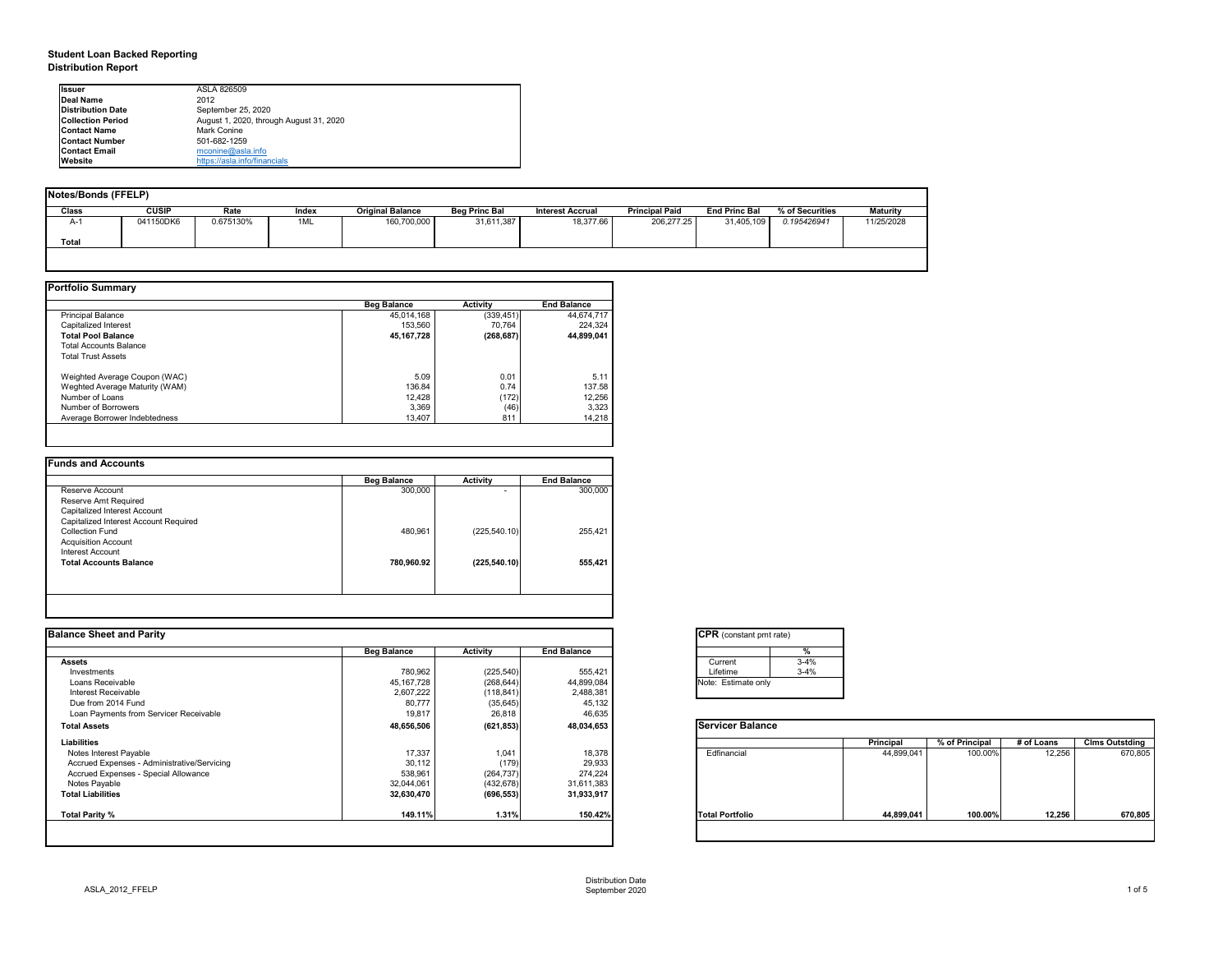# **Student Loan Backed Reporting Distribution Report**

| Notes/Bonds (FFELP) |              |           |       |                         |                      |                         |                       |                      |                 |                 |
|---------------------|--------------|-----------|-------|-------------------------|----------------------|-------------------------|-----------------------|----------------------|-----------------|-----------------|
| <b>Class</b>        | <b>CUSIP</b> | Rate      | Index | <b>Original Balance</b> | <b>Beg Princ Bal</b> | <b>Interest Accrual</b> | <b>Principal Paid</b> | <b>End Princ Bal</b> | % of Securities | <b>Maturity</b> |
| A-1                 | 041150DK6    | 0.675130% | 1ML   | 160,700,000             | 31,611,387           | 18,377.66               | 206,277.25            | 31,405,109           | 0.195426941     | 11/25/2028      |
| <b>Total</b>        |              |           |       |                         |                      |                         |                       |                      |                 |                 |
|                     |              |           |       |                         |                      |                         |                       |                      |                 |                 |

|                                | <b>Beg Balance</b> | <b>Activity</b> | <b>End Balance</b> |
|--------------------------------|--------------------|-----------------|--------------------|
| <b>Principal Balance</b>       | 45,014,168         | (339, 451)      | 44,674,717         |
| Capitalized Interest           | 153,560            | 70,764          | 224,324            |
| <b>Total Pool Balance</b>      | 45, 167, 728       | (268, 687)      | 44,899,041         |
| <b>Total Accounts Balance</b>  |                    |                 |                    |
| <b>Total Trust Assets</b>      |                    |                 |                    |
| Weighted Average Coupon (WAC)  | 5.09               | 0.01            | 5.11               |
| Weghted Average Maturity (WAM) | 136.84             | 0.74            | 137.58             |
| Number of Loans                | 12,428             | (172)           | 12,256             |
| Number of Borrowers            | 3,369              | (46)            | 3,323              |
| Average Borrower Indebtedness  | 13,407             | 811             | 14,218             |

|                                       | <b>Beg Balance</b> | <b>Activity</b>          | <b>End Balance</b> |
|---------------------------------------|--------------------|--------------------------|--------------------|
| Reserve Account                       | 300,000            | $\overline{\phantom{0}}$ | 300,000            |
| Reserve Amt Required                  |                    |                          |                    |
| Capitalized Interest Account          |                    |                          |                    |
| Capitalized Interest Account Required |                    |                          |                    |
| <b>Collection Fund</b>                | 480,961            | (225, 540.10)            | 255,421            |
| <b>Acquisition Account</b>            |                    |                          |                    |
| Interest Account                      |                    |                          |                    |
| <b>Total Accounts Balance</b>         | 780,960.92         | (225, 540.10)            | 555,421            |
|                                       |                    |                          |                    |

| <b>Ilssuer</b>           | ASLA 826509                             |
|--------------------------|-----------------------------------------|
| Deal Name                | 2012                                    |
| <b>Distribution Date</b> | September 25, 2020                      |
| <b>Collection Period</b> | August 1, 2020, through August 31, 2020 |
| <b>IContact Name</b>     | Mark Conine                             |
| <b>IContact Number</b>   | 501-682-1259                            |
| <b>Contact Email</b>     | mconine@asla.info                       |
| <b>IWebsite</b>          | https://asla.info/financials            |

| <b>End Balance</b><br>555,421<br>44,899,084<br>2,488,381<br>45,132<br>46,635 | Current<br>Lifetime<br>Note: Estimate only | $3 - 4%$<br>$3 - 4%$ |                  |                |            |                       |
|------------------------------------------------------------------------------|--------------------------------------------|----------------------|------------------|----------------|------------|-----------------------|
|                                                                              |                                            |                      |                  |                |            |                       |
|                                                                              |                                            |                      |                  |                |            |                       |
|                                                                              |                                            |                      |                  |                |            |                       |
|                                                                              |                                            |                      |                  |                |            |                       |
|                                                                              |                                            |                      |                  |                |            |                       |
|                                                                              |                                            |                      |                  |                |            |                       |
|                                                                              |                                            |                      |                  |                |            |                       |
|                                                                              | <b>Servicer Balance</b>                    |                      |                  |                |            |                       |
|                                                                              |                                            |                      | <b>Principal</b> | % of Principal | # of Loans | <b>Clms Outstding</b> |
| 18,378                                                                       | Edfinancial                                |                      | 44,899,041       | 100.00%        | 12,256     | 670,805               |
| 29,933                                                                       |                                            |                      |                  |                |            |                       |
| 274,224                                                                      |                                            |                      |                  |                |            |                       |
| 31,611,383                                                                   |                                            |                      |                  |                |            |                       |
| 31,933,917                                                                   |                                            |                      |                  |                |            |                       |
| 150.42%                                                                      | <b>Total Portfolio</b>                     |                      | 44,899,041       | 100.00%        | 12,256     | 670,805               |
|                                                                              | 48,034,653                                 |                      |                  |                |            |                       |

| tant pmt rate) |          |
|----------------|----------|
|                | %        |
|                | $3 - 4%$ |
|                | $3 - 4%$ |
| ate only       |          |

|      | Principal  | % of Principal | # of Loans | <b>Clms Outstding</b> |
|------|------------|----------------|------------|-----------------------|
| al   | 44,899,041 | 100.00%        | 12,256     | 670,805               |
| oilc | 44,899,041 | 100.00%        | 12,256     | 670,805               |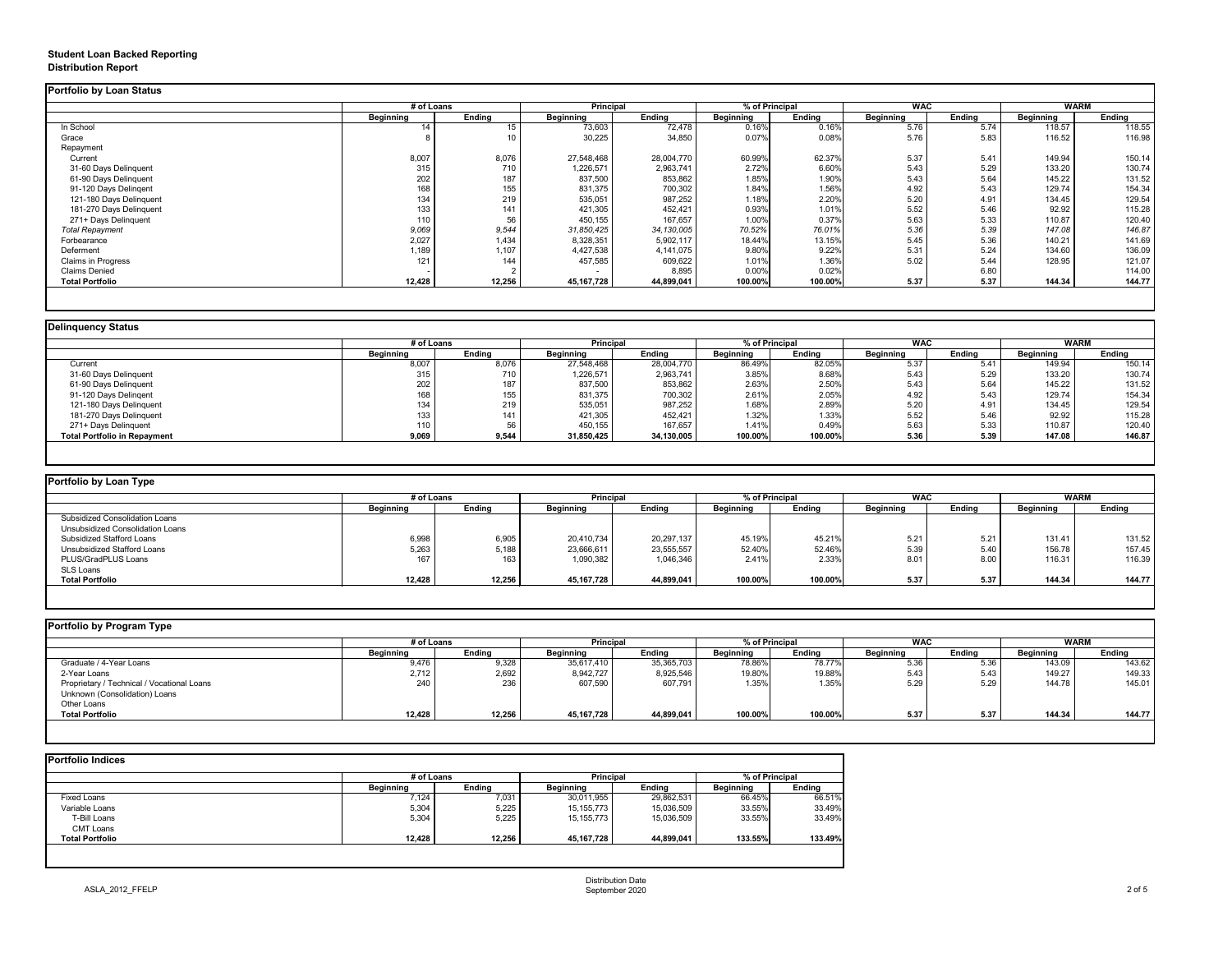# **Student Loan Backed Reporting Distribution Report**

|                         | # of Loans       |               | <b>Principal</b> |               | % of Principal   |               | <b>WAC</b>       |               | <b>WARM</b>      |               |
|-------------------------|------------------|---------------|------------------|---------------|------------------|---------------|------------------|---------------|------------------|---------------|
|                         | <b>Beginning</b> | <b>Ending</b> | <b>Beginning</b> | <b>Ending</b> | <b>Beginning</b> | <b>Ending</b> | <b>Beginning</b> | <b>Ending</b> | <b>Beginning</b> | <b>Ending</b> |
| In School               | 14               |               | 73,603           | 72,478        | 0.16%            | 0.16%         | 5.76             | 5.74          | 118.57           | 118.55        |
| Grace                   |                  |               | 30,225           | 34,850        | 0.07%            | 0.08%         | 5.76             | 5.83          | 116.52           | 116.98        |
| Repayment               |                  |               |                  |               |                  |               |                  |               |                  |               |
| Current                 | 8,007            | 8,076         | 27,548,468       | 28,004,770    | 60.99%           | 62.37%        | 5.37             | 5.41          | 149.94           | 150.14        |
| 31-60 Days Delinquent   | 315              | 710           | 1,226,571        | 2,963,741     | 2.72%            | 6.60%         | 5.43             | 5.29          | 133.20           | 130.74        |
| 61-90 Days Delinquent   | 202              | 187           | 837,500          | 853,862       | 1.85%            | 1.90%         | 5.43             | 5.64          | 145.22           | 131.52        |
| 91-120 Days Delingent   | 168              | 155           | 831,375          | 700,302       | 1.84%            | 1.56%         | 4.92             | 5.43          | 129.74           | 154.34        |
| 121-180 Days Delinquent | 134              | 219           | 535,051          | 987,252       | 1.18%            | 2.20%         | 5.20             | 4.91          | 134.45           | 129.54        |
| 181-270 Days Delinquent | 133              | 141           | 421,305          | 452,421       | 0.93%            | 1.01%         | 5.52             | 5.46          | 92.92            | 115.28        |
| 271+ Days Delinquent    | 110              | 56            | 450,155          | 167,657       | 1.00%            | 0.37%         | 5.63             | 5.33          | 110.87           | 120.40        |
| <b>Total Repayment</b>  | 9,069            | 9,544         | 31,850,425       | 34,130,005    | 70.52%           | 76.01%        | 5.36             | 5.39          | 147.08           | 146.87        |
| Forbearance             | 2,027            | 1,434         | 8,328,351        | 5,902,117     | 18.44%           | 13.15%        | 5.45             | 5.36          | 140.21           | 141.69        |
| Deferment               | 1,189            | 1,107         | 4,427,538        | 4,141,075     | 9.80%            | 9.22%         | 5.31             | 5.24          | 134.60           | 136.09        |
| Claims in Progress      | 121              | 144           | 457,585          | 609,622       | 1.01%            | 1.36%         | 5.02             | 5.44          | 128.95           | 121.07        |
| <b>Claims Denied</b>    |                  |               |                  | 8,895         | 0.00%            | 0.02%         |                  | 6.80          |                  | 114.00        |
| <b>Total Portfolio</b>  | 12,428           | 12,256        | 45, 167, 728     | 44,899,041    | 100.00%          | 100.00%       | 5.37             | 5.37          | 144.34           | 144.77        |

| <b>Delinquency Status</b>           |                  |               |                  |               |                  |               |                  |               |                  |               |
|-------------------------------------|------------------|---------------|------------------|---------------|------------------|---------------|------------------|---------------|------------------|---------------|
|                                     | # of Loans       |               | <b>Principal</b> |               | % of Principal   |               | <b>WAC</b>       |               | <b>WARM</b>      |               |
|                                     | <b>Beginning</b> | <b>Ending</b> | <b>Beginning</b> | <b>Ending</b> | <b>Beginning</b> | <b>Ending</b> | <b>Beginning</b> | <b>Ending</b> | <b>Beginning</b> | <b>Ending</b> |
| Current                             | 8,007            | 8,076         | 27,548,468       | 28,004,770    | 86.49%           | 82.05%        | 5.37             | 5.41          | 149.94           | 150.14        |
| 31-60 Days Delinquent               | 315              | 710           | 1,226,571        | 2,963,741     | 3.85%            | 8.68%         | 5.43             | 5.29          | 133.20           | 130.74        |
| 61-90 Days Delinquent               | 202              | 187           | 837,500          | 853,862       | 2.63%            | 2.50%         | 5.43             | 5.64          | 145.22           | 131.52        |
| 91-120 Days Delingent               | 168              |               | 831,375          | 700,302       | 2.61%            | 2.05%         | 4.92             | 5.43          | 129.74           | 154.34        |
| 121-180 Days Delinquent             | 134              | 219           | 535,051          | 987,252       | 1.68%            | 2.89%         | 5.20             | 4.91          | 134.45           | 129.54        |
| 181-270 Days Delinquent             | 133              | 141           | 421,305          | 452,421       | 1.32%            | 1.33%         | 5.52             | 5.46          | 92.92            | 115.28        |
| 271+ Days Delinquent                | 110              | 56            | 450,155          | 167,657       | 1.41%            | 0.49%         | 5.63             | 5.33          | 110.87           | 120.40        |
| <b>Total Portfolio in Repayment</b> | 9,069            | 9,544         | 31,850,425       | 34,130,005    | 100.00%          | 100.00%       | 5.36             | 5.39          | 147.08           | 146.87        |
|                                     |                  |               |                  |               |                  |               |                  |               |                  |               |

| Portfolio by Loan Type                |                  |               |                  |               |                  |               |                  |               |                  |               |
|---------------------------------------|------------------|---------------|------------------|---------------|------------------|---------------|------------------|---------------|------------------|---------------|
|                                       | # of Loans       |               | <b>Principal</b> |               | % of Principal   |               | <b>WAC</b>       |               | <b>WARM</b>      |               |
|                                       | <b>Beginning</b> | <b>Ending</b> | <b>Beginning</b> | <b>Ending</b> | <b>Beginning</b> | <b>Ending</b> | <b>Beginning</b> | <b>Ending</b> | <b>Beginning</b> | <b>Ending</b> |
| <b>Subsidized Consolidation Loans</b> |                  |               |                  |               |                  |               |                  |               |                  |               |
| Unsubsidized Consolidation Loans      |                  |               |                  |               |                  |               |                  |               |                  |               |
| <b>Subsidized Stafford Loans</b>      | 6,998            | 6,905         | 20,410,734       | 20,297,137    | 45.19%           | 45.21%        | 5.21             | 5.21          | 131.41           | 131.52        |
| Unsubsidized Stafford Loans           | 5,263            | 5,188         | 23,666,611       | 23,555,557    | 52.40%           | 52.46%        | 5.39             | 5.40          | 156.78           | 157.45        |
| PLUS/GradPLUS Loans                   | 167              | 163           | 1,090,382        | 1,046,346     | 2.41%            | 2.33%         | 8.01             | 8.00          | 116.31           | 116.39        |
| SLS Loans                             |                  |               |                  |               |                  |               |                  |               |                  |               |
| <b>Total Portfolio</b>                | 12,428           | 12,256        | 45, 167, 728     | 44,899,041    | 100.00%          | 100.00%       | 5.37             | 5.37          | 144.34           | 144.77        |

|  |  |  |  | <b>Portfolio by Program Type</b> |  |
|--|--|--|--|----------------------------------|--|
|--|--|--|--|----------------------------------|--|

| Portfolio by Program Type                  |                  |               |                  |               |           |                              |                  |               |                  |               |
|--------------------------------------------|------------------|---------------|------------------|---------------|-----------|------------------------------|------------------|---------------|------------------|---------------|
|                                            | # of Loans       |               | <b>Principal</b> |               |           | <b>WAC</b><br>% of Principal |                  |               | <b>WARM</b>      |               |
|                                            | <b>Beginning</b> | <b>Ending</b> | <b>Beginning</b> | <b>Ending</b> | Beginning | <b>Ending</b>                | <b>Beginning</b> | <b>Ending</b> | <b>Beginning</b> | <b>Ending</b> |
| Graduate / 4-Year Loans                    | 9,476            | 9,328         | 35,617,410       | 35,365,703    | 78.86%    | 78.77%                       | 5.36             | 5.36          | 143.09           | 143.62        |
| 2-Year Loans                               | 2,712            | 2,692         | 8,942,727        | 8,925,546     | 19.80%    | 19.88%                       | 5.43             | 5.43          | 149.27           | 149.33        |
| Proprietary / Technical / Vocational Loans | 240              | 236           | 607,590          | 607,791       | 1.35%     | 1.35%                        | 5.29             | 5.29          | 144.78           | 145.01        |
| Unknown (Consolidation) Loans              |                  |               |                  |               |           |                              |                  |               |                  |               |
| Other Loans                                |                  |               |                  |               |           |                              |                  |               |                  |               |
| <b>Total Portfolio</b>                     | 12,428           | 12,256        | 45, 167, 728     | 44,899,041    | 100.00%   | 100.00%                      | 5.37             | 5.37          | 144.34           | 144.77        |
|                                            |                  |               |                  |               |           |                              |                  |               |                  |               |

|                        |                  | # of Loans    |                  | <b>Principal</b> |                  | % of Principal |  |
|------------------------|------------------|---------------|------------------|------------------|------------------|----------------|--|
|                        | <b>Beginning</b> | <b>Ending</b> | <b>Beginning</b> | <b>Ending</b>    | <b>Beginning</b> | <b>Ending</b>  |  |
| <b>Fixed Loans</b>     | 7,124            | 7,031         | 30,011,955       | 29,862,531       | 66.45%           | 66.51%         |  |
| Variable Loans         | 5,304            | 5,225         | 15, 155, 773     | 15,036,509       | 33.55%           | 33.49%         |  |
| T-Bill Loans           | 5,304            | 5,225         | 15,155,773       | 15,036,509       | 33.55%           | 33.49%         |  |
| <b>CMT Loans</b>       |                  |               |                  |                  |                  |                |  |
| <b>Total Portfolio</b> | 12,428           | 12,256        | 45, 167, 728     | 44,899,041       | 133.55%          | 133.49%        |  |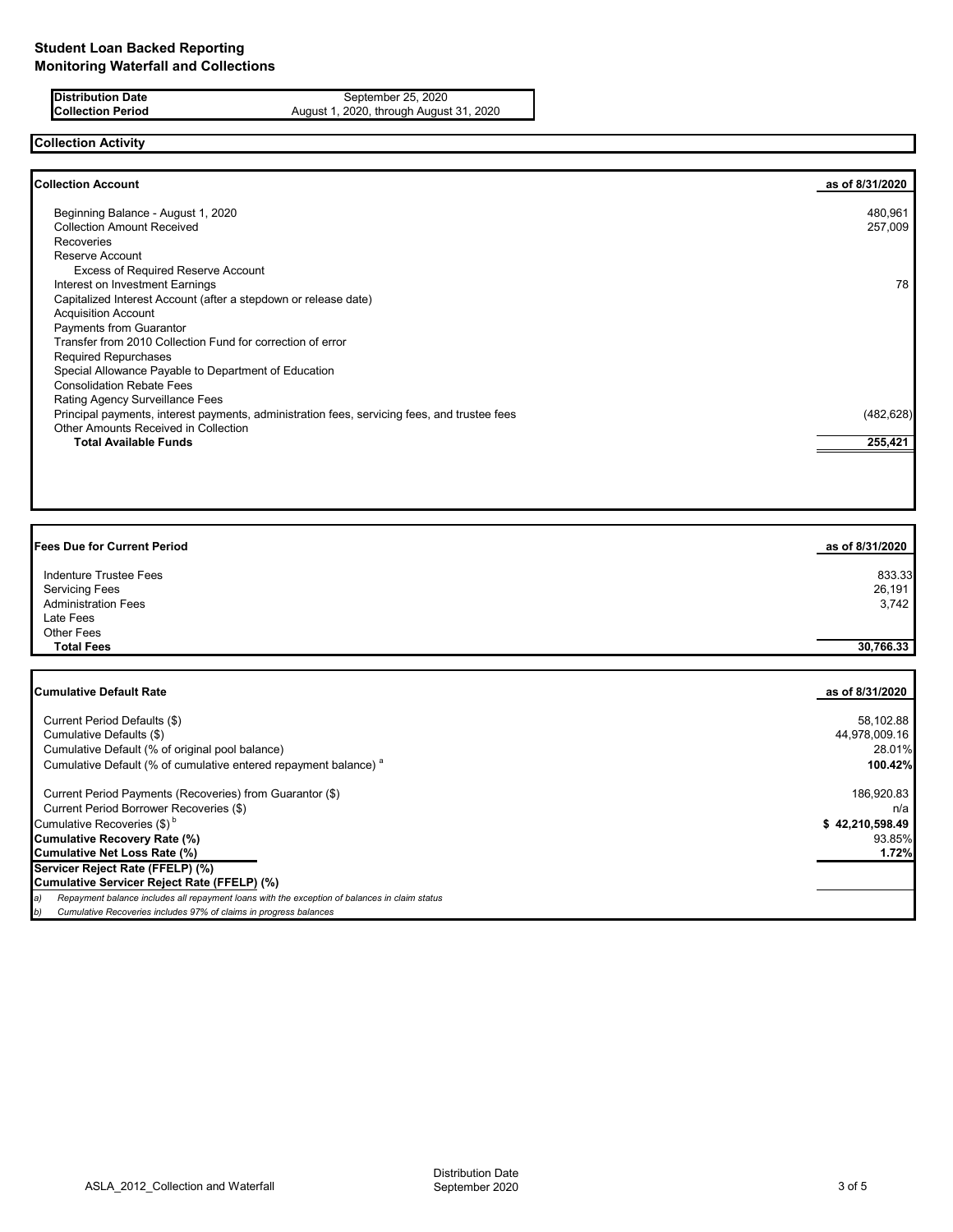**Distribution Date** September 25, 2020<br>**Collection Period** August 1, 2020, through August August 1, 2020, through August 31, 2020

# **Collection Activity**

| <b>Collection Account</b>                                                                    | as of 8/31/2020 |
|----------------------------------------------------------------------------------------------|-----------------|
| Beginning Balance - August 1, 2020                                                           | 480,961         |
| <b>Collection Amount Received</b>                                                            | 257,009         |
| Recoveries                                                                                   |                 |
| Reserve Account                                                                              |                 |
| <b>Excess of Required Reserve Account</b>                                                    |                 |
| Interest on Investment Earnings                                                              | 78              |
| Capitalized Interest Account (after a stepdown or release date)                              |                 |
| <b>Acquisition Account</b>                                                                   |                 |
| Payments from Guarantor                                                                      |                 |
| Transfer from 2010 Collection Fund for correction of error                                   |                 |
| <b>Required Repurchases</b>                                                                  |                 |
| Special Allowance Payable to Department of Education                                         |                 |
| <b>Consolidation Rebate Fees</b>                                                             |                 |
| <b>Rating Agency Surveillance Fees</b>                                                       |                 |
| Principal payments, interest payments, administration fees, servicing fees, and trustee fees | (482, 628)      |
| Other Amounts Received in Collection                                                         |                 |
| <b>Total Available Funds</b>                                                                 | 255,421         |
|                                                                                              |                 |

| <b>Fees Due for Current Period</b> | as of 8/31/2020 |
|------------------------------------|-----------------|
| <b>Indenture Trustee Fees</b>      | 833.33          |
| <b>Servicing Fees</b>              | 26,191          |
| <b>Administration Fees</b>         | 3,742           |
| Late Fees                          |                 |
| Other Fees                         |                 |
| <b>Total Fees</b>                  | 30,766.33       |
|                                    |                 |
|                                    |                 |

| <b>Cumulative Default Rate</b>                                                                      | as of 8/31/2020 |
|-----------------------------------------------------------------------------------------------------|-----------------|
| Current Period Defaults (\$)                                                                        | 58,102.88       |
| Cumulative Defaults (\$)                                                                            | 44,978,009.16   |
| Cumulative Default (% of original pool balance)                                                     | 28.01%          |
| Cumulative Default (% of cumulative entered repayment balance) <sup>a</sup>                         | 100.42%         |
| Current Period Payments (Recoveries) from Guarantor (\$)                                            | 186,920.83      |
| Current Period Borrower Recoveries (\$)                                                             | n/a             |
| Cumulative Recoveries (\$) <sup>b</sup>                                                             | \$42,210,598.49 |
| Cumulative Recovery Rate (%)                                                                        | 93.85%          |
| Cumulative Net Loss Rate (%)                                                                        | 1.72%           |
| Servicer Reject Rate (FFELP) (%)                                                                    |                 |
| Cumulative Servicer Reject Rate (FFELP) (%)                                                         |                 |
| Repayment balance includes all repayment loans with the exception of balances in claim status<br>a) |                 |
| b)<br>Cumulative Recoveries includes 97% of claims in progress balances                             |                 |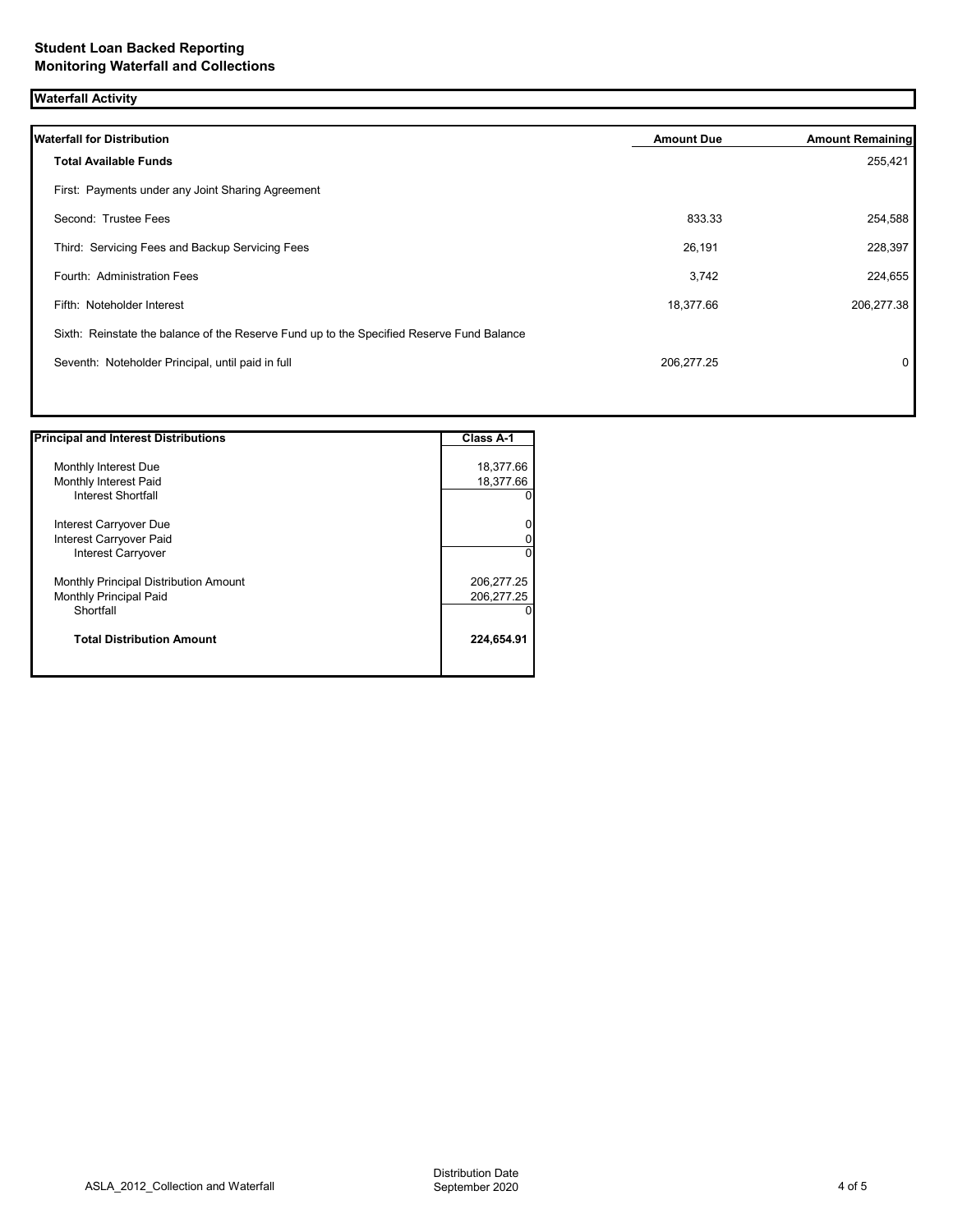| <b>Waterfall Activity</b>                                                                 |                   |                         |
|-------------------------------------------------------------------------------------------|-------------------|-------------------------|
| <b>Waterfall for Distribution</b>                                                         | <b>Amount Due</b> | <b>Amount Remaining</b> |
| <b>Total Available Funds</b>                                                              |                   | 255,421                 |
| First: Payments under any Joint Sharing Agreement                                         |                   |                         |
| Second: Trustee Fees                                                                      | 833.33            | 254,588                 |
| Third: Servicing Fees and Backup Servicing Fees                                           | 26,191            | 228,397                 |
| Fourth: Administration Fees                                                               | 3,742             | 224,655                 |
| Fifth: Noteholder Interest                                                                | 18,377.66         | 206,277.38              |
| Sixth: Reinstate the balance of the Reserve Fund up to the Specified Reserve Fund Balance |                   |                         |
| Seventh: Noteholder Principal, until paid in full                                         | 206,277.25        | 0                       |
|                                                                                           |                   |                         |

| <b>Principal and Interest Distributions</b> | <b>Class A-1</b> |
|---------------------------------------------|------------------|
|                                             |                  |
| Monthly Interest Due                        | 18,377.66        |
| Monthly Interest Paid                       | 18,377.66        |
| <b>Interest Shortfall</b>                   |                  |
| Interest Carryover Due                      |                  |
| Interest Carryover Paid                     |                  |
| Interest Carryover                          |                  |
| Monthly Principal Distribution Amount       | 206,277.25       |
| Monthly Principal Paid                      | 206,277.25       |
| Shortfall                                   |                  |
| <b>Total Distribution Amount</b>            | 224,654.91       |
|                                             |                  |